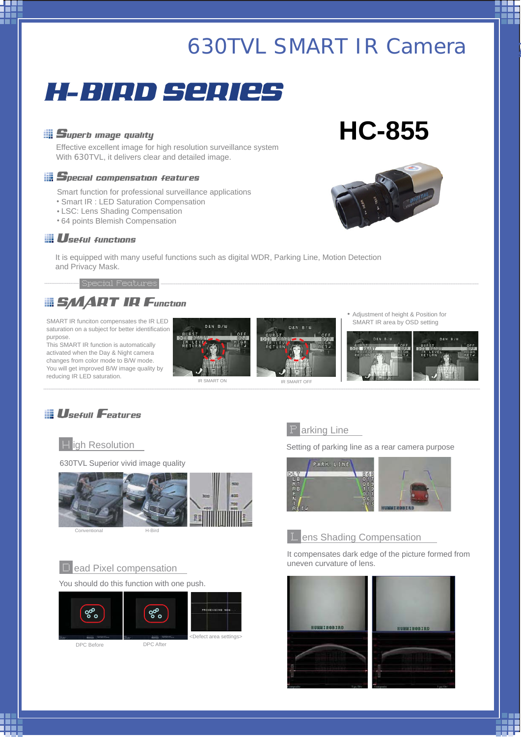# $630TVL$  *SMART IR Camera*



### *Superb image quality*

Effective excellent image for high resolution surveillance system With 630TVL, it delivers clear and detailed image.

### *Special compensation features*

Smart function for professional surveillance applications

- Smart IR : LED Saturation Compensation
- LSC: Lens Shading Compensation
- 64 points Blemish Compensation

#### *Useful functions*

It is equipped with many useful functions such as digital WDR, Parking Line, Motion Detection and Privacy Mask.

Special Features ................................. ...............................................................................................................................................................................................................................................................................................................

# *SMART IR Function*

SMART IR funciton compensates the IR LED saturation on a subject for better identification purpose.

This SMART IR function is automatically activated when the Day & Night camera changes from color mode to B/W mode. You will get improved B/W image quality by





Adjustment of height & Position for SMART IR area by OSD setting



# *Usefull Features*



630TVL Superior vivid image quality



Conventional H-Bird

#### D ead Pixel compensation

#### You should do this function with one push.





DPC Before DPC After



PROCESSING NO



Setting of parking line as a rear camera purpose



## **L** ens Shading Compensation

It compensates dark edge of the picture formed from uneven curvature of lens.





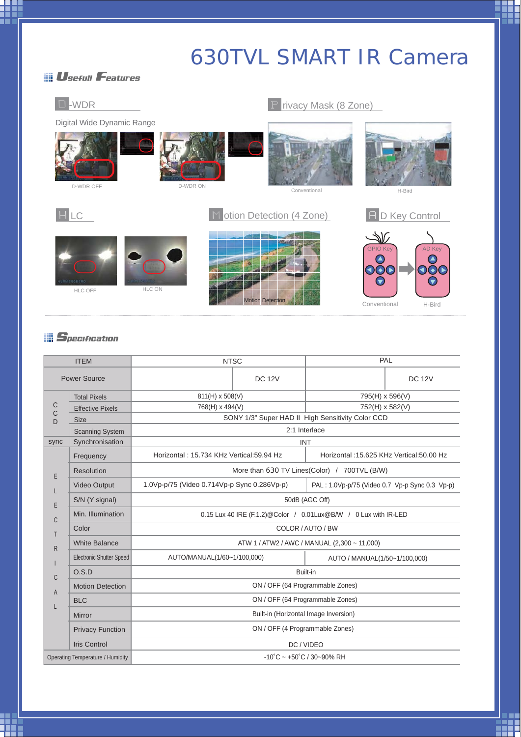# *630TVL SMART IR Camera*

# *Usefull Features*



## *Specification*

| <b>ITEM</b>                                       |                                 | <b>NTSC</b>                                                     |               | PAL                                            |               |  |  |  |
|---------------------------------------------------|---------------------------------|-----------------------------------------------------------------|---------------|------------------------------------------------|---------------|--|--|--|
| <b>Power Source</b>                               |                                 |                                                                 | <b>DC 12V</b> |                                                | <b>DC 12V</b> |  |  |  |
| C<br>C<br>D<br>sync<br>E<br>E<br>C<br>R<br>C<br>A | <b>Total Pixels</b>             | 811(H) x 508(V)                                                 |               | 795(H) x 596(V)                                |               |  |  |  |
|                                                   | <b>Effective Pixels</b>         | 768(H) x 494(V)                                                 |               | 752(H) x 582(V)                                |               |  |  |  |
|                                                   | <b>Size</b>                     | SONY 1/3" Super HAD II High Sensitivity Color CCD               |               |                                                |               |  |  |  |
|                                                   | <b>Scanning System</b>          | 2:1 Interlace                                                   |               |                                                |               |  |  |  |
|                                                   | Synchronisation                 | <b>INT</b>                                                      |               |                                                |               |  |  |  |
|                                                   | Frequency                       | Horizontal: 15.734 KHz Vertical:59.94 Hz                        |               | Horizontal: 15.625 KHz Vertical: 50.00 Hz      |               |  |  |  |
|                                                   | Resolution                      | More than 630 TV Lines(Color) / 700TVL (B/W)                    |               |                                                |               |  |  |  |
|                                                   | <b>Video Output</b>             | 1.0Vp-p/75 (Video 0.714Vp-p Sync 0.286Vp-p)                     |               | PAL: 1.0Vp-p/75 (Video 0.7 Vp-p Sync 0.3 Vp-p) |               |  |  |  |
|                                                   | S/N (Y signal)                  | 50dB (AGC Off)                                                  |               |                                                |               |  |  |  |
|                                                   | Min. Illumination               | 0.15 Lux 40 IRE (F.1.2)@Color / 0.01Lux@B/W / 0 Lux with IR-LED |               |                                                |               |  |  |  |
|                                                   | Color                           | COLOR / AUTO / BW                                               |               |                                                |               |  |  |  |
|                                                   | <b>White Balance</b>            | ATW 1 / ATW2 / AWC / MANUAL (2,300 ~ 11,000)                    |               |                                                |               |  |  |  |
|                                                   | <b>Electronic Shutter Speed</b> | AUTO/MANUAL(1/60~1/100,000)                                     |               | AUTO / MANUAL(1/50~1/100,000)                  |               |  |  |  |
|                                                   | O.S.D                           | Built-in                                                        |               |                                                |               |  |  |  |
|                                                   | <b>Motion Detection</b>         | ON / OFF (64 Programmable Zones)                                |               |                                                |               |  |  |  |
|                                                   | <b>BLC</b>                      | ON / OFF (64 Programmable Zones)                                |               |                                                |               |  |  |  |
|                                                   | Mirror                          | Built-in (Horizontal Image Inversion)                           |               |                                                |               |  |  |  |
|                                                   | <b>Privacy Function</b>         | ON / OFF (4 Programmable Zones)                                 |               |                                                |               |  |  |  |
|                                                   | <b>Iris Control</b>             | DC / VIDEO                                                      |               |                                                |               |  |  |  |
| <b>Operating Temperature / Humidity</b>           |                                 | $-10^{\circ}$ C ~ $+50^{\circ}$ C / 30~90% RH                   |               |                                                |               |  |  |  |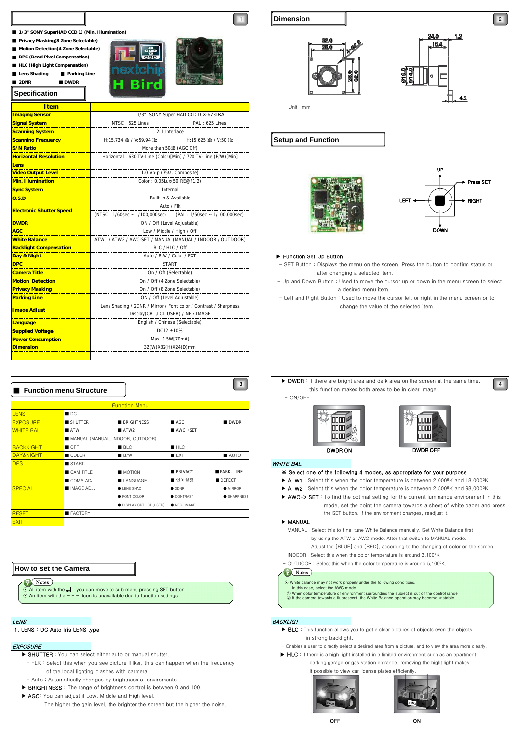

|                   | <b>Function menu Structure</b> |                                  |                                      | $\mathbf{3}$        | $\blacktriangleright$ DWDR :<br>- ON/OFF |
|-------------------|--------------------------------|----------------------------------|--------------------------------------|---------------------|------------------------------------------|
|                   |                                | <b>Function Menu</b>             |                                      |                     |                                          |
| <b>LENS</b>       | ■ DC                           |                                  |                                      |                     |                                          |
| <b>EXPOSURE</b>   | SHUTTER                        | <b>BRIGHTNESS</b>                | ■ AGC                                | <b>DWDR</b>         |                                          |
| <b>WHITE BAL.</b> | <b>ATW</b>                     | ATW2                             | $\blacksquare$ AWC $\rightarrow$ SET |                     |                                          |
|                   |                                | MANUAL (MANUAL, INDOOR, OUTDOOR) |                                      |                     |                                          |
| <b>BACKKIGHT</b>  | OFF <sub></sub>                | B <sub>EC</sub>                  | HLC                                  |                     |                                          |
| DAY&NIGHT         | COLOR                          | B/W                              | EXT                                  | $\blacksquare$ AUTO |                                          |
| <b>DPS</b>        | <b>START</b>                   |                                  |                                      |                     | <b>WHITE BAL.</b>                        |
|                   | CAM TITLE                      | <b>MOTION</b>                    | <b>PRIVACY</b>                       | PARK, LINE          | * Select o                               |
|                   | COMM ADJ.                      | LANGUAGE                         | ■ 언어설정                               | DEFECT              | $\blacktriangleright$ ATW1 : S           |
| <b>SPECIAL</b>    | <b>MAGE ADJ.</b>               | <b>OLENS SHAD.</b>               | • 2DNR                               | <b>MIRROR</b>       | $\blacktriangleright$ ATW2 : 8           |
|                   |                                | <b>• FONT COLOR</b>              | CONTRAST                             | <b>SHARPNESS</b>    | $\triangleright$ AWC->:                  |
|                   |                                | <b>ODISPLAY(CRT,LCD,USER)</b>    | <b>O</b> NEG. IMAGE                  |                     |                                          |
| <b>RESET</b>      | FACTORY                        |                                  |                                      |                     |                                          |
| <b>EXIT</b>       |                                |                                  |                                      |                     | MANUAL<br>.                              |

#### **How to set the Camera**

**Notes** 

All item with the ← , you can move to sub menu pressing SET button. ⊙ An item with the - - -, icon is unavailable due to function settings

- - of the local lighting clashes with carmera and the content of the local lighting clashes with carmera and the content of the local structure in the structure of the local lighting clashes with carmera and the content of th
- Auto: Automatically changes by brightness of enviromente
- $\triangleright$  BRIGHTNESS : The range of brightness control is between 0 and 100.
- AGC: You can adjust it Low, Middle and High level.
	- The higher the gain level, the brighter the screen but the higher the noise



**Dimension**

OFF ON